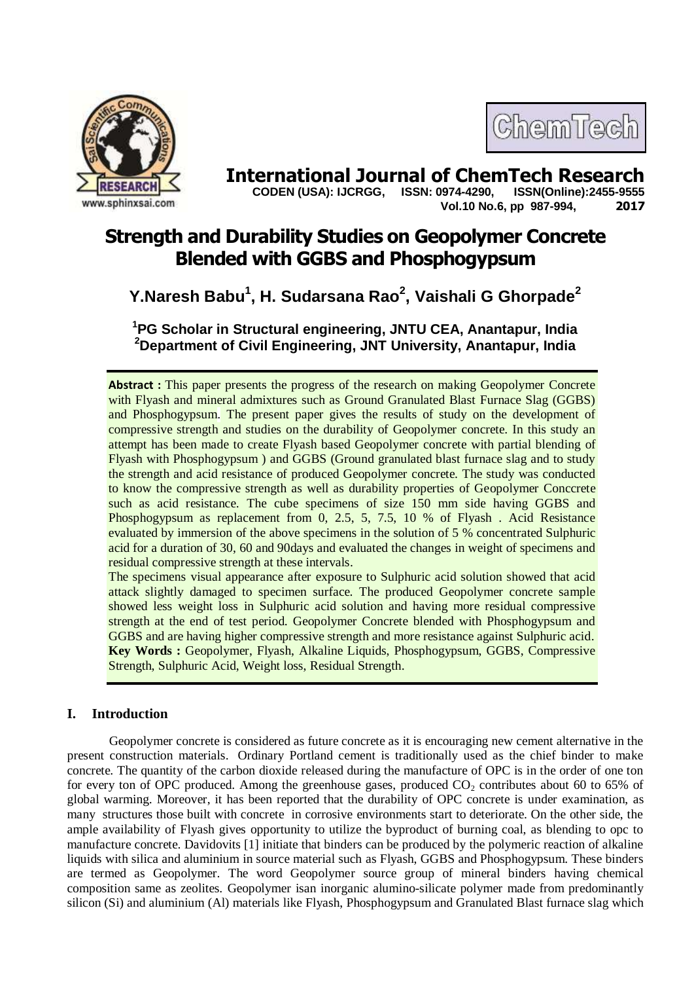



**International Journal of ChemTech Research**<br>CODEN (USA): IJCRGG. ISSN: 0974-4290. ISSN(Online):2455-9555  **CODEN (USA): IJCRGG, ISSN: 0974-4290, Vol.10 No.6, pp 987-994, 2017**

# **Strength and Durability Studies on Geopolymer Concrete Blended with GGBS and Phosphogypsum**

# **Y.Naresh Babu<sup>1</sup> , H. Sudarsana Rao<sup>2</sup> , Vaishali G Ghorpade<sup>2</sup>**

**<sup>1</sup>PG Scholar in Structural engineering, JNTU CEA, Anantapur, India <sup>2</sup>Department of Civil Engineering, JNT University, Anantapur, India**

**Abstract :** This paper presents the progress of the research on making Geopolymer Concrete with Flyash and mineral admixtures such as Ground Granulated Blast Furnace Slag (GGBS) and Phosphogypsum. The present paper gives the results of study on the development of compressive strength and studies on the durability of Geopolymer concrete. In this study an attempt has been made to create Flyash based Geopolymer concrete with partial blending of Flyash with Phosphogypsum ) and GGBS (Ground granulated blast furnace slag and to study the strength and acid resistance of produced Geopolymer concrete. The study was conducted to know the compressive strength as well as durability properties of Geopolymer Conccrete such as acid resistance. The cube specimens of size 150 mm side having GGBS and Phosphogypsum as replacement from 0, 2.5, 5, 7.5, 10 % of Flyash . Acid Resistance evaluated by immersion of the above specimens in the solution of 5 % concentrated Sulphuric acid for a duration of 30, 60 and 90days and evaluated the changes in weight of specimens and residual compressive strength at these intervals.

The specimens visual appearance after exposure to Sulphuric acid solution showed that acid attack slightly damaged to specimen surface. The produced Geopolymer concrete sample showed less weight loss in Sulphuric acid solution and having more residual compressive strength at the end of test period. Geopolymer Concrete blended with Phosphogypsum and GGBS and are having higher compressive strength and more resistance against Sulphuric acid. **Key Words :** Geopolymer, Flyash, Alkaline Liquids, Phosphogypsum, GGBS, Compressive Strength, Sulphuric Acid, Weight loss, Residual Strength.

# **I. Introduction**

Geopolymer concrete is considered as future concrete as it is encouraging new cement alternative in the present construction materials. Ordinary Portland cement is traditionally used as the chief binder to make concrete. The quantity of the carbon dioxide released during the manufacture of OPC is in the order of one ton for every ton of OPC produced. Among the greenhouse gases, produced  $CO<sub>2</sub>$  contributes about 60 to 65% of global warming. Moreover, it has been reported that the durability of OPC concrete is under examination, as many structures those built with concrete in corrosive environments start to deteriorate. On the other side, the ample availability of Flyash gives opportunity to utilize the byproduct of burning coal, as blending to opc to manufacture concrete. Davidovits [1] initiate that binders can be produced by the polymeric reaction of alkaline liquids with silica and aluminium in source material such as Flyash, GGBS and Phosphogypsum. These binders are termed as Geopolymer. The word Geopolymer source group of mineral binders having chemical composition same as zeolites. Geopolymer isan inorganic alumino-silicate polymer made from predominantly silicon (Si) and aluminium (Al) materials like Flyash, Phosphogypsum and Granulated Blast furnace slag which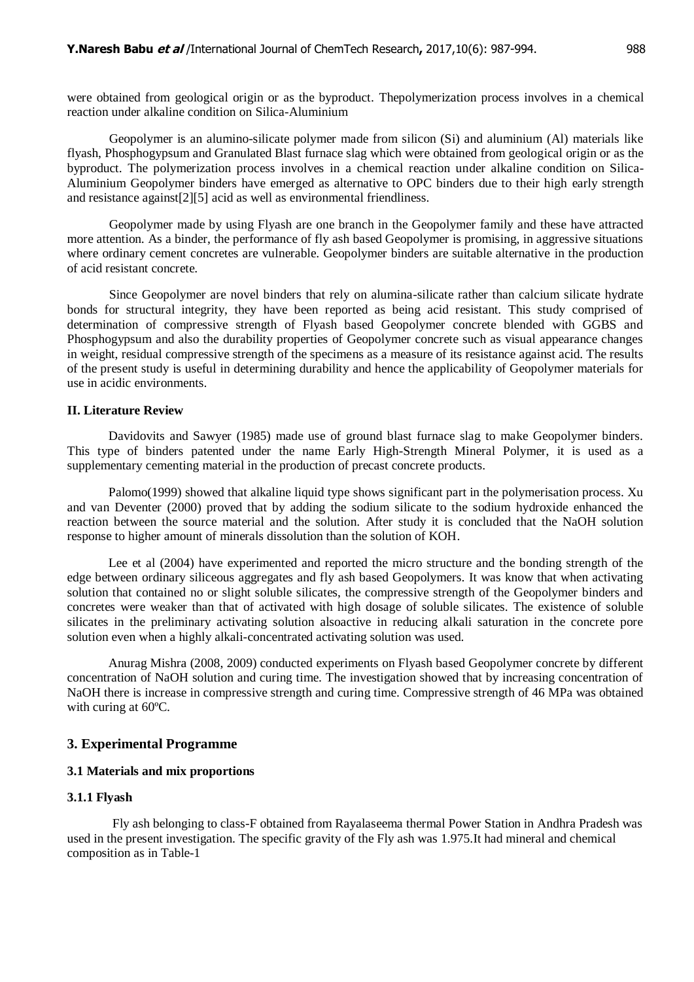were obtained from geological origin or as the byproduct. Thepolymerization process involves in a chemical reaction under alkaline condition on Silica-Aluminium

Geopolymer is an alumino-silicate polymer made from silicon (Si) and aluminium (Al) materials like flyash, Phosphogypsum and Granulated Blast furnace slag which were obtained from geological origin or as the byproduct. The polymerization process involves in a chemical reaction under alkaline condition on Silica-Aluminium Geopolymer binders have emerged as alternative to OPC binders due to their high early strength and resistance against[2][5] acid as well as environmental friendliness.

Geopolymer made by using Flyash are one branch in the Geopolymer family and these have attracted more attention. As a binder, the performance of fly ash based Geopolymer is promising, in aggressive situations where ordinary cement concretes are vulnerable. Geopolymer binders are suitable alternative in the production of acid resistant concrete.

Since Geopolymer are novel binders that rely on alumina-silicate rather than calcium silicate hydrate bonds for structural integrity, they have been reported as being acid resistant. This study comprised of determination of compressive strength of Flyash based Geopolymer concrete blended with GGBS and Phosphogypsum and also the durability properties of Geopolymer concrete such as visual appearance changes in weight, residual compressive strength of the specimens as a measure of its resistance against acid. The results of the present study is useful in determining durability and hence the applicability of Geopolymer materials for use in acidic environments.

#### **II. Literature Review**

Davidovits and Sawyer (1985) made use of ground blast furnace slag to make Geopolymer binders. This type of binders patented under the name Early High-Strength Mineral Polymer, it is used as a supplementary cementing material in the production of precast concrete products.

Palomo(1999) showed that alkaline liquid type shows significant part in the polymerisation process. Xu and van Deventer (2000) proved that by adding the sodium silicate to the sodium hydroxide enhanced the reaction between the source material and the solution. After study it is concluded that the NaOH solution response to higher amount of minerals dissolution than the solution of KOH.

Lee et al (2004) have experimented and reported the micro structure and the bonding strength of the edge between ordinary siliceous aggregates and fly ash based Geopolymers. It was know that when activating solution that contained no or slight soluble silicates, the compressive strength of the Geopolymer binders and concretes were weaker than that of activated with high dosage of soluble silicates. The existence of soluble silicates in the preliminary activating solution alsoactive in reducing alkali saturation in the concrete pore solution even when a highly alkali-concentrated activating solution was used.

Anurag Mishra (2008, 2009) conducted experiments on Flyash based Geopolymer concrete by different concentration of NaOH solution and curing time. The investigation showed that by increasing concentration of NaOH there is increase in compressive strength and curing time. Compressive strength of 46 MPa was obtained with curing at 60ºC.

#### **3. Experimental Programme**

#### **3.1 Materials and mix proportions**

#### **3.1.1 Flyash**

Fly ash belonging to class-F obtained from Rayalaseema thermal Power Station in Andhra Pradesh was used in the present investigation. The specific gravity of the Fly ash was 1.975.It had mineral and chemical composition as in Table-1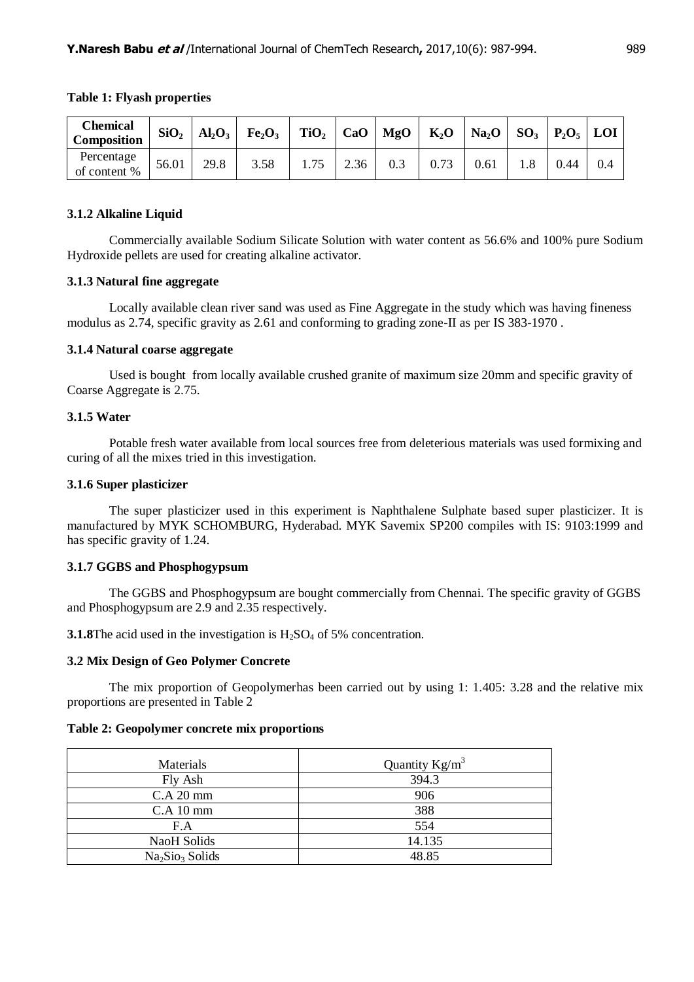| <b>Chemical</b><br><b>Composition</b> |       |      |      |      |     |      |      |      |  |
|---------------------------------------|-------|------|------|------|-----|------|------|------|--|
| Percentage<br>of content %            | 56.01 | 29.8 | 3.58 | 2.36 | 0.3 | 0.73 | 0.61 | 0.44 |  |

#### **Table 1: Flyash properties**

## **3.1.2 Alkaline Liquid**

Commercially available Sodium Silicate Solution with water content as 56.6% and 100% pure Sodium Hydroxide pellets are used for creating alkaline activator.

#### **3.1.3 Natural fine aggregate**

Locally available clean river sand was used as Fine Aggregate in the study which was having fineness modulus as 2.74, specific gravity as 2.61 and conforming to grading zone-II as per IS 383-1970 .

#### **3.1.4 Natural coarse aggregate**

Used is bought from locally available crushed granite of maximum size 20mm and specific gravity of Coarse Aggregate is 2.75.

## **3.1.5 Water**

Potable fresh water available from local sources free from deleterious materials was used formixing and curing of all the mixes tried in this investigation.

#### **3.1.6 Super plasticizer**

The super plasticizer used in this experiment is Naphthalene Sulphate based super plasticizer. It is manufactured by MYK SCHOMBURG, Hyderabad. MYK Savemix SP200 compiles with IS: 9103:1999 and has specific gravity of 1.24.

# **3.1.7 GGBS and Phosphogypsum**

The GGBS and Phosphogypsum are bought commercially from Chennai. The specific gravity of GGBS and Phosphogypsum are 2.9 and 2.35 respectively.

**3.1.8**The acid used in the investigation is  $H_2SO_4$  of 5% concentration.

#### **3.2 Mix Design of Geo Polymer Concrete**

The mix proportion of Geopolymerhas been carried out by using 1: 1.405: 3.28 and the relative mix proportions are presented in Table 2

#### **Table 2: Geopolymer concrete mix proportions**

| Materials                               | Quantity $Kg/m^3$ |
|-----------------------------------------|-------------------|
| Fly Ash                                 | 394.3             |
| C.A 20 mm                               | 906               |
| $C.A$ 10 mm                             | 388               |
| F.A                                     | 554               |
| NaoH Solids                             | 14.135            |
| Na <sub>2</sub> Sio <sub>3</sub> Solids | 48.85             |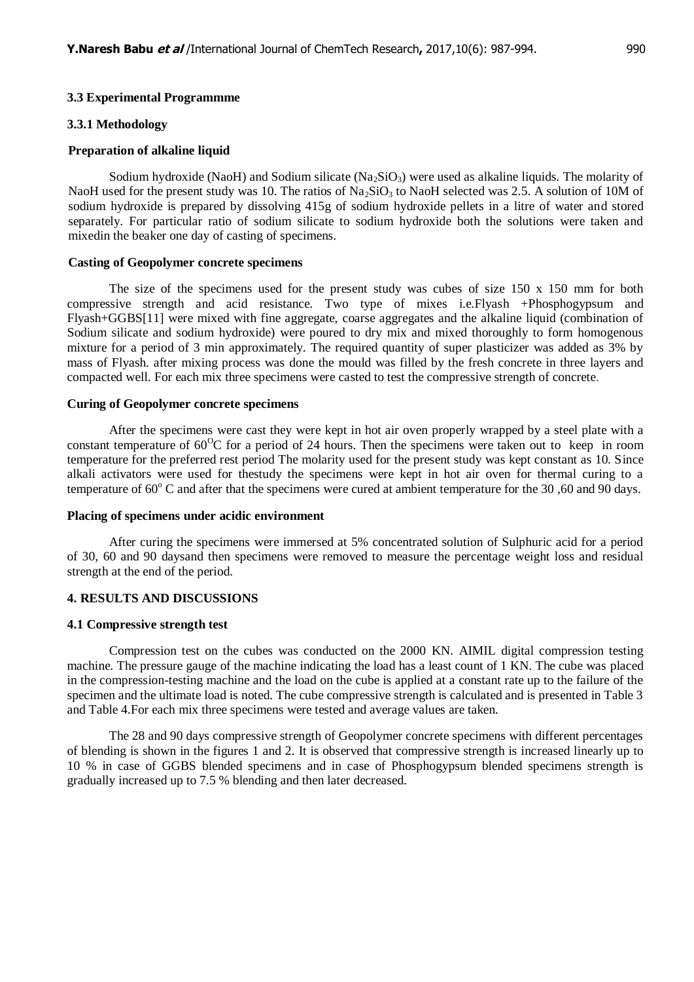#### **3.3 Experimental Programmme**

#### **3.3.1 Methodology**

#### **Preparation of alkaline liquid**

Sodium hydroxide (NaoH) and Sodium silicate (Na<sub>2</sub>SiO<sub>3</sub>) were used as alkaline liquids. The molarity of NaoH used for the present study was 10. The ratios of Na<sub>2</sub>SiO<sub>3</sub> to NaoH selected was 2.5. A solution of 10M of sodium hydroxide is prepared by dissolving 415g of sodium hydroxide pellets in a litre of water and stored separately. For particular ratio of sodium silicate to sodium hydroxide both the solutions were taken and mixedin the beaker one day of casting of specimens.

## **Casting of Geopolymer concrete specimens**

The size of the specimens used for the present study was cubes of size 150 x 150 mm for both compressive strength and acid resistance. Two type of mixes i.e.Flyash +Phosphogypsum and Flyash+GGBS[11] were mixed with fine aggregate, coarse aggregates and the alkaline liquid (combination of Sodium silicate and sodium hydroxide) were poured to dry mix and mixed thoroughly to form homogenous mixture for a period of 3 min approximately. The required quantity of super plasticizer was added as 3% by mass of Flyash. after mixing process was done the mould was filled by the fresh concrete in three layers and compacted well. For each mix three specimens were casted to test the compressive strength of concrete.

#### **Curing of Geopolymer concrete specimens**

After the specimens were cast they were kept in hot air oven properly wrapped by a steel plate with a constant temperature of  $60^{\circ}$ C for a period of 24 hours. Then the specimens were taken out to keep in room temperature for the preferred rest period The molarity used for the present study was kept constant as 10. Since alkali activators were used for thestudy the specimens were kept in hot air oven for thermal curing to a temperature of  $60^{\circ}$  C and after that the specimens were cured at ambient temperature for the 30,60 and 90 days.

#### **Placing of specimens under acidic environment**

After curing the specimens were immersed at 5% concentrated solution of Sulphuric acid for a period of 30, 60 and 90 daysand then specimens were removed to measure the percentage weight loss and residual strength at the end of the period.

#### **4. RESULTS AND DISCUSSIONS**

#### **4.1 Compressive strength test**

Compression test on the cubes was conducted on the 2000 KN. AIMIL digital compression testing machine. The pressure gauge of the machine indicating the load has a least count of 1 KN. The cube was placed in the compression-testing machine and the load on the cube is applied at a constant rate up to the failure of the specimen and the ultimate load is noted. The cube compressive strength is calculated and is presented in Table 3 and Table 4.For each mix three specimens were tested and average values are taken.

The 28 and 90 days compressive strength of Geopolymer concrete specimens with different percentages of blending is shown in the figures 1 and 2. It is observed that compressive strength is increased linearly up to 10 % in case of GGBS blended specimens and in case of Phosphogypsum blended specimens strength is gradually increased up to 7.5 % blending and then later decreased.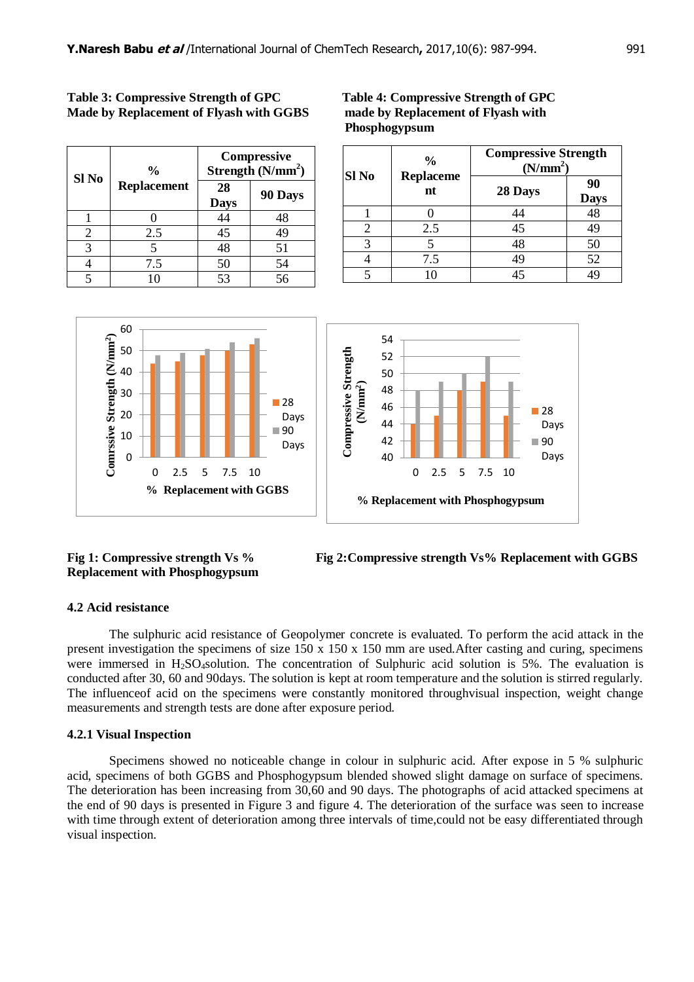| Sl <sub>No</sub> | $\frac{0}{0}$      | <b>Compressive</b><br>Strength $(N/mm2)$ |         |  |
|------------------|--------------------|------------------------------------------|---------|--|
|                  | <b>Replacement</b> | 28<br><b>Days</b>                        | 90 Days |  |
|                  |                    | 44                                       | 48      |  |
| $\mathfrak{D}$   | 2.5                | 45                                       | 49      |  |
| 3                |                    | 48                                       | 51      |  |
|                  | 7.5                | 50                                       | 54      |  |
|                  |                    | 53                                       | 56      |  |

# **Table 3: Compressive Strength of GPC Table 4: Compressive Strength of GPC Made by Replacement of Flyash with GGBS made by Replacement of Flyash with Phosphogypsum**

| <b>Sl No</b> | $\frac{6}{9}$          | <b>Compressive Strength</b><br>(N/mm <sup>2</sup> ) |                   |  |
|--------------|------------------------|-----------------------------------------------------|-------------------|--|
|              | <b>Replaceme</b><br>nt | 28 Days                                             | 90<br><b>Days</b> |  |
|              |                        |                                                     | 48                |  |
| 2            | 2.5                    | 45                                                  | 49                |  |
| 3            |                        | 48                                                  | 50                |  |
|              | 7.5                    | 49                                                  | 52                |  |
|              | 10                     | 45                                                  |                   |  |



# **Replacement with Phosphogypsum**

**Fig 1: Compressive strength Vs % Fig 2:Compressive strength Vs% Replacement with GGBS**

# **4.2 Acid resistance**

The sulphuric acid resistance of Geopolymer concrete is evaluated. To perform the acid attack in the present investigation the specimens of size 150 x 150 x 150 mm are used.After casting and curing, specimens were immersed in H<sub>2</sub>SO<sub>4</sub>solution. The concentration of Sulphuric acid solution is 5%. The evaluation is conducted after 30, 60 and 90days. The solution is kept at room temperature and the solution is stirred regularly. The influenceof acid on the specimens were constantly monitored throughvisual inspection, weight change measurements and strength tests are done after exposure period.

# **4.2.1 Visual Inspection**

Specimens showed no noticeable change in colour in sulphuric acid. After expose in 5 % sulphuric acid, specimens of both GGBS and Phosphogypsum blended showed slight damage on surface of specimens. The deterioration has been increasing from 30,60 and 90 days. The photographs of acid attacked specimens at the end of 90 days is presented in Figure 3 and figure 4. The deterioration of the surface was seen to increase with time through extent of deterioration among three intervals of time, could not be easy differentiated through visual inspection.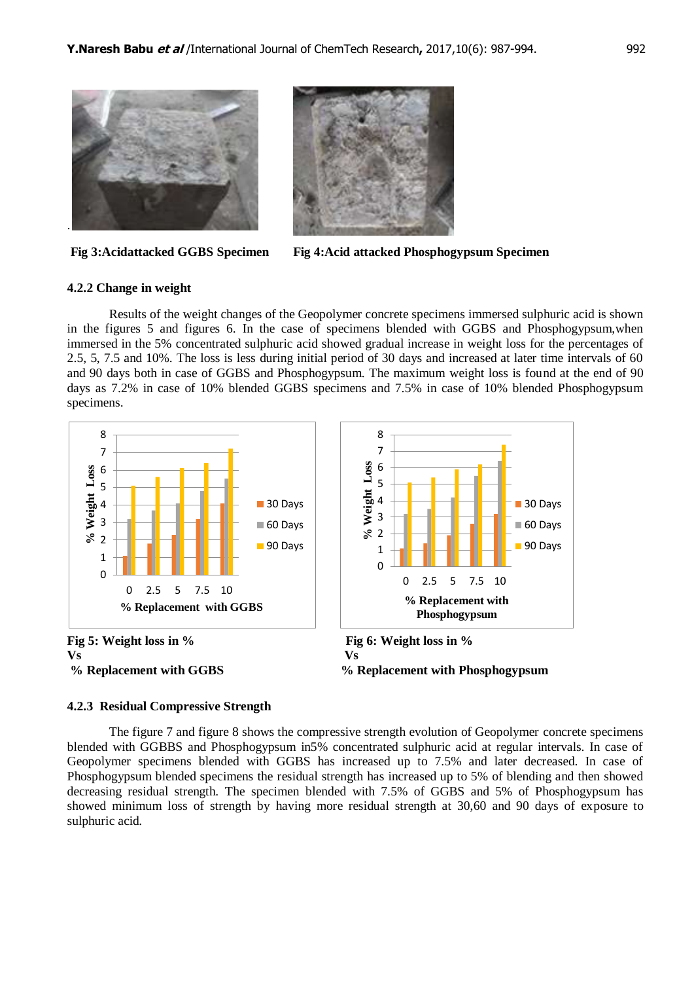



#### **4.2.2 Change in weight**

Results of the weight changes of the Geopolymer concrete specimens immersed sulphuric acid is shown in the figures 5 and figures 6. In the case of specimens blended with GGBS and Phosphogypsum,when immersed in the 5% concentrated sulphuric acid showed gradual increase in weight loss for the percentages of 2.5, 5, 7.5 and 10%. The loss is less during initial period of 30 days and increased at later time intervals of 60 and 90 days both in case of GGBS and Phosphogypsum. The maximum weight loss is found at the end of 90 days as 7.2% in case of 10% blended GGBS specimens and 7.5% in case of 10% blended Phosphogypsum specimens.



#### **4.2.3 Residual Compressive Strength**

The figure 7 and figure 8 shows the compressive strength evolution of Geopolymer concrete specimens blended with GGBBS and Phosphogypsum in5% concentrated sulphuric acid at regular intervals. In case of Geopolymer specimens blended with GGBS has increased up to 7.5% and later decreased. In case of Phosphogypsum blended specimens the residual strength has increased up to 5% of blending and then showed decreasing residual strength. The specimen blended with 7.5% of GGBS and 5% of Phosphogypsum has showed minimum loss of strength by having more residual strength at 30,60 and 90 days of exposure to sulphuric acid.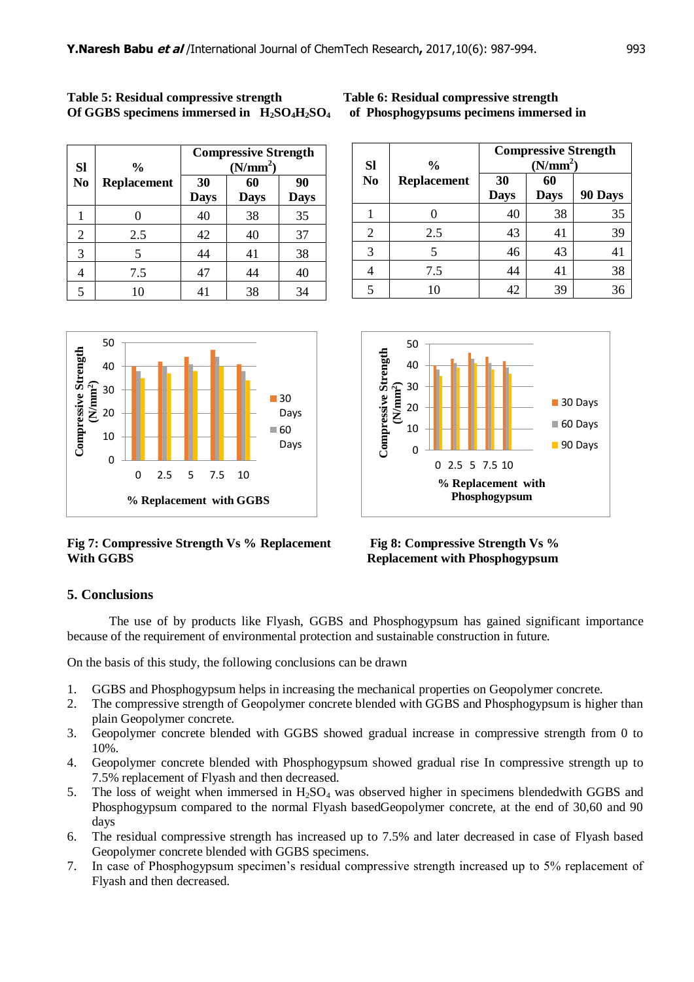| <b>Table 5: Residual compressive strength</b>  |  |
|------------------------------------------------|--|
| Of GGBS specimens immersed in $H_2SO_4H_2SO_4$ |  |

| <b>Sl</b>      | $\frac{0}{0}$      | <b>Compressive Strength</b><br>(N/mm <sup>2</sup> ) |                   |                   |  |
|----------------|--------------------|-----------------------------------------------------|-------------------|-------------------|--|
| N <sub>0</sub> | <b>Replacement</b> | 30<br><b>Days</b>                                   | 60<br><b>Days</b> | 90<br><b>Days</b> |  |
|                |                    | 40                                                  | 38                | 35                |  |
| $\overline{2}$ | 2.5                | 42                                                  | 40                | 37                |  |
| 3              | 5                  | 44                                                  | 41                | 38                |  |
| 4              | 7.5                | 47                                                  | 44                | 40                |  |
| 5              | 10                 | 41                                                  | 38                | 34                |  |



# **Fig 7: Compressive Strength Vs % Replacement Fig 8: Compressive Strength Vs %**



| <b>Sl</b>      | $\frac{6}{9}$      | <b>Compressive Strength</b><br>(N/mm <sup>2</sup> ) |                   |         |  |  |
|----------------|--------------------|-----------------------------------------------------|-------------------|---------|--|--|
| N <sub>0</sub> | <b>Replacement</b> | 30<br><b>Days</b>                                   | 60<br><b>Days</b> | 90 Days |  |  |
|                |                    | 40                                                  | 38                | 35      |  |  |
| 2              | 2.5                | 43                                                  | 41                | 39      |  |  |
| 3              | 5                  | 46                                                  | 43                | 41      |  |  |
|                | 7.5                | 44                                                  | 41                | 38      |  |  |
| 5              | 10                 | 42                                                  | 39                | 36      |  |  |



**Replacement with Phosphogypsum** 

# **5. Conclusions**

The use of by products like Flyash, GGBS and Phosphogypsum has gained significant importance because of the requirement of environmental protection and sustainable construction in future.

On the basis of this study, the following conclusions can be drawn

- 1. GGBS and Phosphogypsum helps in increasing the mechanical properties on Geopolymer concrete.
- 2. The compressive strength of Geopolymer concrete blended with GGBS and Phosphogypsum is higher than plain Geopolymer concrete.
- 3. Geopolymer concrete blended with GGBS showed gradual increase in compressive strength from 0 to 10%.
- 4. Geopolymer concrete blended with Phosphogypsum showed gradual rise In compressive strength up to 7.5% replacement of Flyash and then decreased.
- 5. The loss of weight when immersed in  $H_2SO_4$  was observed higher in specimens blendedwith GGBS and Phosphogypsum compared to the normal Flyash basedGeopolymer concrete, at the end of 30,60 and 90 days
- 6. The residual compressive strength has increased up to 7.5% and later decreased in case of Flyash based Geopolymer concrete blended with GGBS specimens.
- 7. In case of Phosphogypsum specimen's residual compressive strength increased up to 5% replacement of Flyash and then decreased.